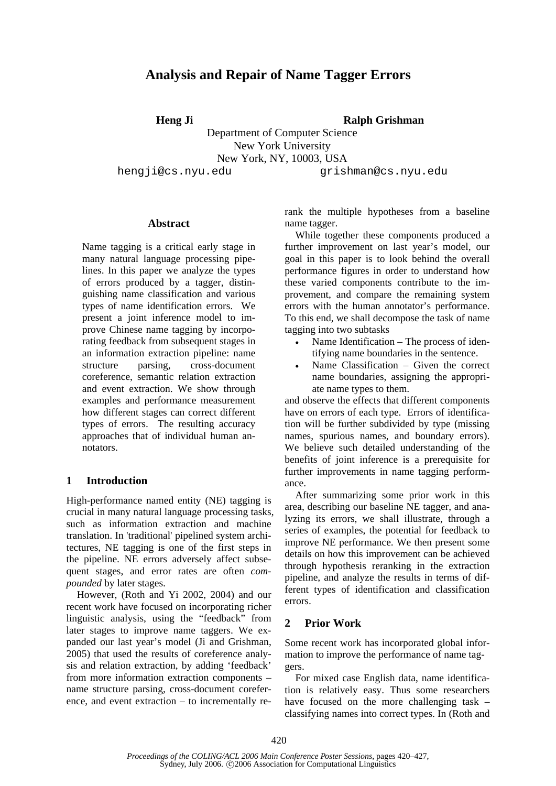# **Analysis and Repair of Name Tagger Errors**

**Heng Ji Ralph Grishman**

Department of Computer Science New York University New York, NY, 10003, USA hengji@cs.nyu.edu qrishman@cs.nyu.edu

## **Abstract**

Name tagging is a critical early stage in many natural language processing pipelines. In this paper we analyze the types of errors produced by a tagger, distinguishing name classification and various types of name identification errors. We present a joint inference model to improve Chinese name tagging by incorporating feedback from subsequent stages in an information extraction pipeline: name structure parsing, cross-document coreference, semantic relation extraction and event extraction. We show through examples and performance measurement how different stages can correct different types of errors. The resulting accuracy approaches that of individual human annotators.

# **1 Introduction**

High-performance named entity (NE) tagging is crucial in many natural language processing tasks, such as information extraction and machine translation. In 'traditional' pipelined system architectures, NE tagging is one of the first steps in the pipeline. NE errors adversely affect subsequent stages, and error rates are often *compounded* by later stages.

However, (Roth and Yi 2002, 2004) and our recent work have focused on incorporating richer linguistic analysis, using the "feedback" from later stages to improve name taggers. We expanded our last year's model (Ji and Grishman, 2005) that used the results of coreference analysis and relation extraction, by adding 'feedback' from more information extraction components – name structure parsing, cross-document coreference, and event extraction – to incrementally rerank the multiple hypotheses from a baseline name tagger.

While together these components produced a further improvement on last year's model, our goal in this paper is to look behind the overall performance figures in order to understand how these varied components contribute to the improvement, and compare the remaining system errors with the human annotator's performance. To this end, we shall decompose the task of name tagging into two subtasks

- Name Identification The process of identifying name boundaries in the sentence.
- Name Classification Given the correct name boundaries, assigning the appropriate name types to them.

and observe the effects that different components have on errors of each type. Errors of identification will be further subdivided by type (missing names, spurious names, and boundary errors). We believe such detailed understanding of the benefits of joint inference is a prerequisite for further improvements in name tagging performance.

After summarizing some prior work in this area, describing our baseline NE tagger, and analyzing its errors, we shall illustrate, through a series of examples, the potential for feedback to improve NE performance. We then present some details on how this improvement can be achieved through hypothesis reranking in the extraction pipeline, and analyze the results in terms of different types of identification and classification errors.

# **2 Prior Work**

Some recent work has incorporated global information to improve the performance of name taggers.

For mixed case English data, name identification is relatively easy. Thus some researchers have focused on the more challenging task – classifying names into correct types. In (Roth and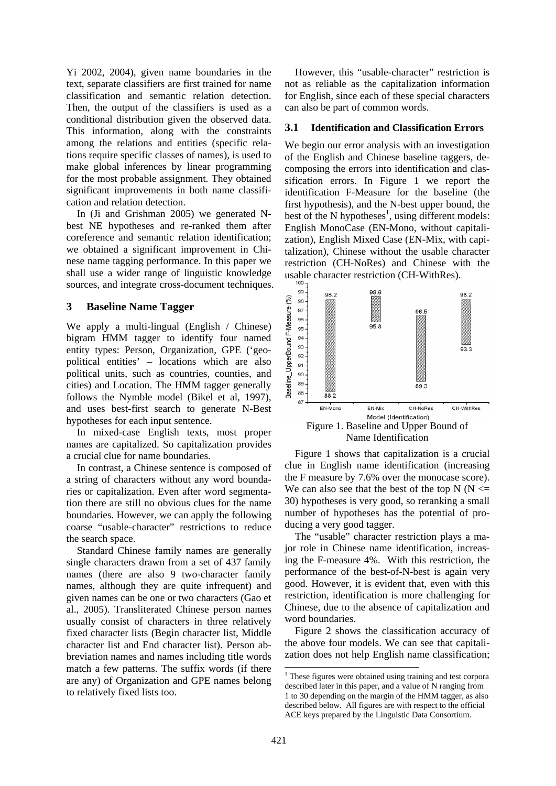Yi 2002, 2004), given name boundaries in the text, separate classifiers are first trained for name classification and semantic relation detection. Then, the output of the classifiers is used as a conditional distribution given the observed data. This information, along with the constraints among the relations and entities (specific relations require specific classes of names), is used to make global inferences by linear programming for the most probable assignment. They obtained significant improvements in both name classification and relation detection.

In (Ji and Grishman 2005) we generated Nbest NE hypotheses and re-ranked them after coreference and semantic relation identification; we obtained a significant improvement in Chinese name tagging performance. In this paper we shall use a wider range of linguistic knowledge sources, and integrate cross-document techniques.

## **3 Baseline Name Tagger**

We apply a multi-lingual (English / Chinese) bigram HMM tagger to identify four named entity types: Person, Organization, GPE ('geopolitical entities' – locations which are also political units, such as countries, counties, and cities) and Location. The HMM tagger generally follows the Nymble model (Bikel et al, 1997), and uses best-first search to generate N-Best hypotheses for each input sentence.

In mixed-case English texts, most proper names are capitalized. So capitalization provides a crucial clue for name boundaries.

In contrast, a Chinese sentence is composed of a string of characters without any word boundaries or capitalization. Even after word segmentation there are still no obvious clues for the name boundaries. However, we can apply the following coarse "usable-character" restrictions to reduce the search space.

Standard Chinese family names are generally single characters drawn from a set of 437 family names (there are also 9 two-character family names, although they are quite infrequent) and given names can be one or two characters (Gao et al., 2005). Transliterated Chinese person names usually consist of characters in three relatively fixed character lists (Begin character list, Middle character list and End character list). Person abbreviation names and names including title words match a few patterns. The suffix words (if there are any) of Organization and GPE names belong to relatively fixed lists too.

However, this "usable-character" restriction is not as reliable as the capitalization information for English, since each of these special characters can also be part of common words.

# **3.1 Identification and Classification Errors**

We begin our error analysis with an investigation of the English and Chinese baseline taggers, decomposing the errors into identification and classification errors. In Figure 1 we report the identification F-Measure for the baseline (the first hypothesis), and the N-best upper bound, the best of the N hypotheses<sup>1</sup>, using different models: English MonoCase (EN-Mono, without capitalization), English Mixed Case (EN-Mix, with capitalization), Chinese without the usable character restriction (CH-NoRes) and Chinese with the usable character restriction (CH-WithRes).



Name Identification

Figure 1 shows that capitalization is a crucial clue in English name identification (increasing the F measure by 7.6% over the monocase score). We can also see that the best of the top  $N(N \leq$ 30) hypotheses is very good, so reranking a small number of hypotheses has the potential of producing a very good tagger.

The "usable" character restriction plays a major role in Chinese name identification, increasing the F-measure 4%. With this restriction, the performance of the best-of-N-best is again very good. However, it is evident that, even with this restriction, identification is more challenging for Chinese, due to the absence of capitalization and word boundaries.

Figure 2 shows the classification accuracy of the above four models. We can see that capitalization does not help English name classification;

These figures were obtained using training and test corpora described later in this paper, and a value of N ranging from 1 to 30 depending on the margin of the HMM tagger, as also described below. All figures are with respect to the official ACE keys prepared by the Linguistic Data Consortium.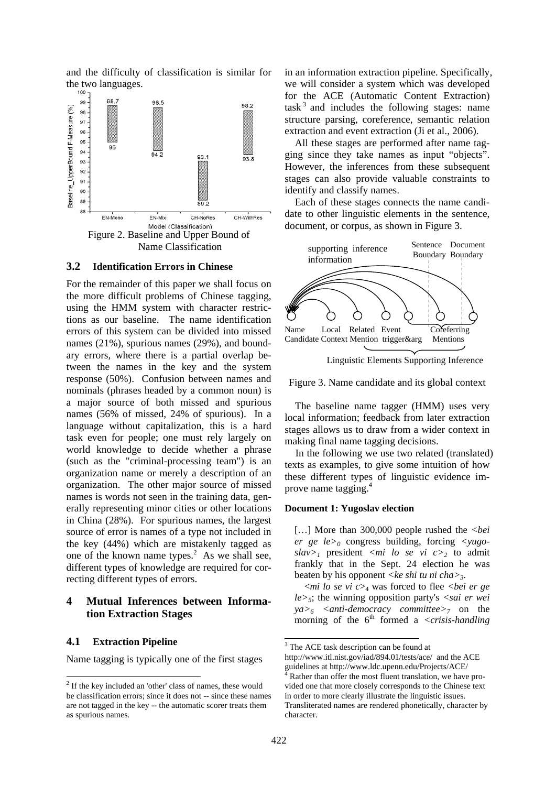and the difficulty of classification is similar for the two languages.



### **3.2 Identification Errors in Chinese**

For the remainder of this paper we shall focus on the more difficult problems of Chinese tagging, using the HMM system with character restrictions as our baseline. The name identification errors of this system can be divided into missed names (21%), spurious names (29%), and boundary errors, where there is a partial overlap between the names in the key and the system response (50%). Confusion between names and nominals (phrases headed by a common noun) is a major source of both missed and spurious names (56% of missed, 24% of spurious). In a language without capitalization, this is a hard task even for people; one must rely largely on world knowledge to decide whether a phrase (such as the "criminal-processing team") is an organization name or merely a description of an organization. The other major source of missed names is words not seen in the training data, generally representing minor cities or other locations in China (28%). For spurious names, the largest source of error is names of a type not included in the key (44%) which are mistakenly tagged as one of the known name types. $2$  As we shall see, different types of knowledge are required for correcting different types of errors.

# **4 Mutual Inferences between Information Extraction Stages**

#### **4.1 Extraction Pipeline**

l

Name tagging is typically one of the first stages

in an information extraction pipeline. Specifically, we will consider a system which was developed for the ACE (Automatic Content Extraction)  $task<sup>3</sup>$  and includes the following stages: name structure parsing, coreference, semantic relation extraction and event extraction (Ji et al., 2006).

All these stages are performed after name tagging since they take names as input "objects". However, the inferences from these subsequent stages can also provide valuable constraints to identify and classify names.

Each of these stages connects the name candidate to other linguistic elements in the sentence, document, or corpus, as shown in Figure 3.



Linguistic Elements Supporting Inference

Figure 3. Name candidate and its global context

The baseline name tagger (HMM) uses very local information; feedback from later extraction stages allows us to draw from a wider context in making final name tagging decisions.

In the following we use two related (translated) texts as examples, to give some intuition of how these different types of linguistic evidence improve name tagging.<sup>4</sup>

#### **Document 1: Yugoslav election**

[...] More than 300,000 people rushed the *<bei er ge le>0* congress building, forcing *<yugo* $slav>1$  president  $\langle mi \rangle$  *lo se vi c* $>2$  to admit frankly that in the Sept. 24 election he was beaten by his opponent *<ke shi tu ni cha>3*.

 <*mi lo se vi c*>4 was forced to flee *<bei er ge le>5*; the winning opposition party's *<sai er wei ya>6 <anti-democracy committee>7* on the morning of the  $6<sup>th</sup>$  formed a *<crisis-handling* 

-

<sup>&</sup>lt;sup>2</sup> If the key included an 'other' class of names, these would be classification errors; since it does not -- since these names are not tagged in the key -- the automatic scorer treats them as spurious names.

<sup>&</sup>lt;sup>3</sup> The ACE task description can be found at

http://www.itl.nist.gov/iad/894.01/tests/ace/ and the ACE guidelines at http://www.ldc.upenn.edu/Projects/ACE/

Rather than offer the most fluent translation, we have provided one that more closely corresponds to the Chinese text in order to more clearly illustrate the linguistic issues. Transliterated names are rendered phonetically, character by character.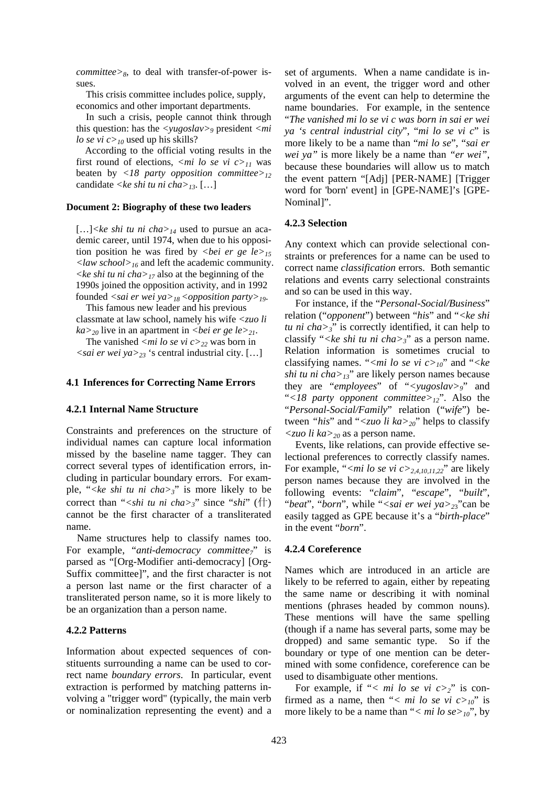*committee* $>8$ , to deal with transfer-of-power issues.

 This crisis committee includes police, supply, economics and other important departments.

In such a crisis, people cannot think through this question: has the *<yugoslav>9* president *<mi lo se vi c><sub>10</sub>* used up his skills?

 According to the official voting results in the first round of elections,  $\langle mi \rangle$  lo se vi  $c \rangle$ <sub>11</sub> was beaten by *<18 party opposition committee>12* candidate *<ke shi tu ni cha>13*. […]

#### **Document 2: Biography of these two leaders**

[…]*<ke shi tu ni cha>14* used to pursue an academic career, until 1974, when due to his opposition position he was fired by *<br/>bei er ge*  $le_{15}$ *<law school>16* and left the academic community. *<ke shi tu ni cha>17* also at the beginning of the 1990s joined the opposition activity, and in 1992 founded *<sai er wei ya>18 <opposition party>19*.

This famous new leader and his previous classmate at law school, namely his wife *<zuo li*   $ka >_{20}$  live in an apartment in *<br/>bei er ge le* $>_{21}$ .

The vanished  $\langle mi \text{ } lo \text{ } se \text{ } vi \text{ } c \rangle_{22}$  was born in

*<sai er wei ya>23* 's central industrial city. […]

#### **4.1 Inferences for Correcting Name Errors**

#### **4.2.1 Internal Name Structure**

Constraints and preferences on the structure of individual names can capture local information missed by the baseline name tagger. They can correct several types of identification errors, including in particular boundary errors. For example, "*<ke shi tu ni cha>3*" is more likely to be correct than "*<shi tu ni cha>3*" since "*shi*" (什) cannot be the first character of a transliterated name.

Name structures help to classify names too. For example, "*anti-democracy committee7*" is parsed as "[Org-Modifier anti-democracy] [Org-Suffix committee]", and the first character is not a person last name or the first character of a transliterated person name, so it is more likely to be an organization than a person name.

#### **4.2.2 Patterns**

Information about expected sequences of constituents surrounding a name can be used to correct name *boundary errors*. In particular, event extraction is performed by matching patterns involving a "trigger word" (typically, the main verb or nominalization representing the event) and a

set of arguments. When a name candidate is involved in an event, the trigger word and other arguments of the event can help to determine the name boundaries. For example, in the sentence "*The vanished mi lo se vi c was born in sai er wei ya 's central industrial city*", "*mi lo se vi c*" is more likely to be a name than "*mi lo se*", "*sai er wei ya"* is more likely be a name than *"er wei"*, because these boundaries will allow us to match the event pattern "[Adj] [PER-NAME] [Trigger word for 'born' event] in [GPE-NAME]'s [GPE-Nominal]".

#### **4.2.3 Selection**

Any context which can provide selectional constraints or preferences for a name can be used to correct name *classification* errors. Both semantic relations and events carry selectional constraints and so can be used in this way.

For instance, if the "*Personal-Social/Business*" relation ("*opponent*") between "*his*" and "*<ke shi tu ni cha* $>3$ " is correctly identified, it can help to classify "*<ke shi tu ni cha>3*" as a person name. Relation information is sometimes crucial to classifying names. "<*mi lo se vi c>* $_{10}$ " and "<*ke shi tu ni cha>13*" are likely person names because they are "*employees*" of "*<yugoslav>9*" and "*<18 party opponent committee>12*". Also the "*Personal-Social/Family*" relation ("*wife*") between *"his*" and "*<zuo li ka>20*" helps to classify *<zuo li ka>20* as a person name.

Events, like relations, can provide effective selectional preferences to correctly classify names. For example, "<*mi lo se vi c>*<sub>2,4,10,11,22</sub>" are likely person names because they are involved in the following events: "*claim*", "*escape*", "*built*", "*beat*", "*born*", while "*<sai er wei ya>2*3"can be easily tagged as GPE because it's a "*birth-place*" in the event "*born*".

#### **4.2.4 Coreference**

Names which are introduced in an article are likely to be referred to again, either by repeating the same name or describing it with nominal mentions (phrases headed by common nouns). These mentions will have the same spelling (though if a name has several parts, some may be dropped) and same semantic type. So if the boundary or type of one mention can be determined with some confidence, coreference can be used to disambiguate other mentions.

For example, if "< mi lo se vi  $c > 2$ " is confirmed as a name, then "< mi lo se vi  $c > 0$ " is more likely to be a name than "*< mi lo se>10*", by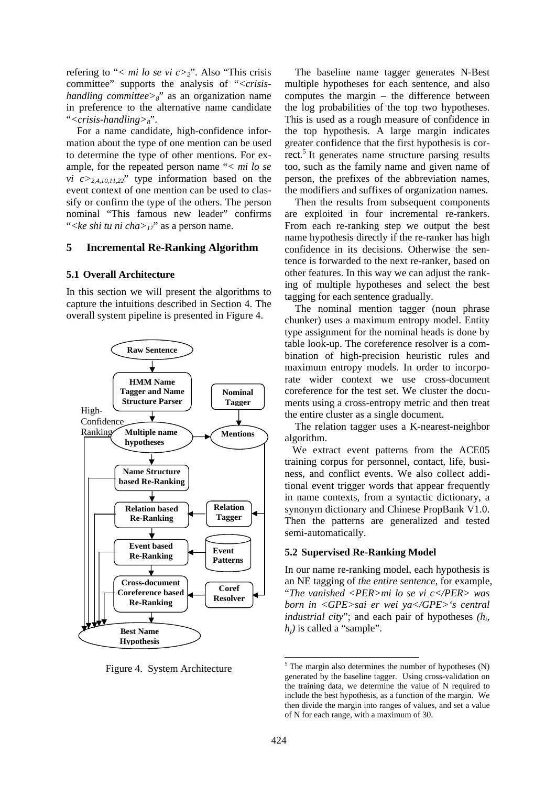refering to "< mi lo se vi  $c > 2$ ". Also "This crisis" committee" supports the analysis of "*<crisishandling committee>8*" as an organization name in preference to the alternative name candidate "*<crisis-handling>8*".

For a name candidate, high-confidence information about the type of one mention can be used to determine the type of other mentions. For example, for the repeated person name "*< mi lo se vi*  $c >_{2,4,10,11,22}$ " type information based on the event context of one mention can be used to classify or confirm the type of the others. The person nominal "This famous new leader" confirms "*<ke shi tu ni cha>17*" as a person name.

# **5 Incremental Re-Ranking Algorithm**

#### **5.1 Overall Architecture**

In this section we will present the algorithms to capture the intuitions described in Section 4. The overall system pipeline is presented in Figure 4.



Figure 4. System Architecture

The baseline name tagger generates N-Best multiple hypotheses for each sentence, and also computes the margin – the difference between the log probabilities of the top two hypotheses. This is used as a rough measure of confidence in the top hypothesis. A large margin indicates greater confidence that the first hypothesis is correct.<sup>5</sup> It generates name structure parsing results too, such as the family name and given name of person, the prefixes of the abbreviation names, the modifiers and suffixes of organization names.

Then the results from subsequent components are exploited in four incremental re-rankers. From each re-ranking step we output the best name hypothesis directly if the re-ranker has high confidence in its decisions. Otherwise the sentence is forwarded to the next re-ranker, based on other features. In this way we can adjust the ranking of multiple hypotheses and select the best tagging for each sentence gradually.

The nominal mention tagger (noun phrase chunker) uses a maximum entropy model. Entity type assignment for the nominal heads is done by table look-up. The coreference resolver is a combination of high-precision heuristic rules and maximum entropy models. In order to incorporate wider context we use cross-document coreference for the test set. We cluster the documents using a cross-entropy metric and then treat the entire cluster as a single document.

The relation tagger uses a K-nearest-neighbor algorithm.

 We extract event patterns from the ACE05 training corpus for personnel, contact, life, business, and conflict events. We also collect additional event trigger words that appear frequently in name contexts, from a syntactic dictionary, a synonym dictionary and Chinese PropBank V1.0. Then the patterns are generalized and tested semi-automatically.

#### **5.2 Supervised Re-Ranking Model**

In our name re-ranking model, each hypothesis is an NE tagging of *the entire sentence*, for example, "*The vanished <PER>mi lo se vi c</PER> was born in <GPE>sai er wei ya</GPE>'s central industrial city*"; and each pair of hypotheses  $(h_i, h_j)$  $h_i$ ) is called a "sample".

-

 $5$  The margin also determines the number of hypotheses (N) generated by the baseline tagger. Using cross-validation on the training data, we determine the value of N required to include the best hypothesis, as a function of the margin. We then divide the margin into ranges of values, and set a value of N for each range, with a maximum of 30.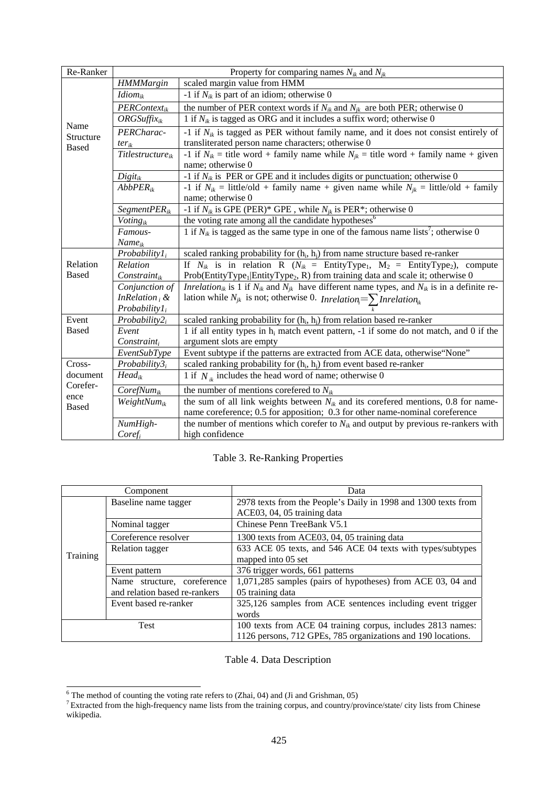| Re-Ranker                         | Property for comparing names $N_{ik}$ and $N_{jk}$ |                                                                                                                                             |  |  |  |  |
|-----------------------------------|----------------------------------------------------|---------------------------------------------------------------------------------------------------------------------------------------------|--|--|--|--|
| Name<br>Structure<br><b>Based</b> | <b>HMMMargin</b>                                   | scaled margin value from HMM                                                                                                                |  |  |  |  |
|                                   | $Idiom_{ik}$                                       | -1 if $N_{ik}$ is part of an idiom; otherwise 0                                                                                             |  |  |  |  |
|                                   | PERContext <sub>ik</sub>                           | the number of PER context words if $N_{ik}$ and $N_{ik}$ are both PER; otherwise 0                                                          |  |  |  |  |
|                                   | $ORGSuffix_{ik}$                                   | 1 if $N_{ik}$ is tagged as ORG and it includes a suffix word; otherwise 0                                                                   |  |  |  |  |
|                                   | PERCharac-                                         | -1 if $N_{ik}$ is tagged as PER without family name, and it does not consist entirely of                                                    |  |  |  |  |
|                                   | $ter_{ik}$                                         | transliterated person name characters; otherwise 0                                                                                          |  |  |  |  |
|                                   | Titlestructure $_{ik}$                             | -1 if $N_{ik}$ = title word + family name while $N_{ik}$ = title word + family name + given                                                 |  |  |  |  |
|                                   |                                                    | name; otherwise 0                                                                                                                           |  |  |  |  |
|                                   | $Digit_{ik}$                                       | -1 if $N_{ik}$ is PER or GPE and it includes digits or punctuation; otherwise 0                                                             |  |  |  |  |
|                                   | $AbbPER_{ik}$                                      | -1 if $N_{ik}$ = little/old + family name + given name while $N_{ik}$ = little/old + family                                                 |  |  |  |  |
|                                   |                                                    | name; otherwise 0                                                                                                                           |  |  |  |  |
|                                   | $SegmentPER_{ik}$                                  | -1 if $N_{ik}$ is GPE (PER)* GPE, while $N_{ik}$ is PER*; otherwise 0                                                                       |  |  |  |  |
|                                   | Voting $_{ik}$                                     | the voting rate among all the candidate hypotheses <sup>6</sup>                                                                             |  |  |  |  |
|                                   | Famous-                                            | 1 if $N_{ik}$ is tagged as the same type in one of the famous name lists <sup>7</sup> ; otherwise 0                                         |  |  |  |  |
|                                   | $Name_{ik}$                                        |                                                                                                                                             |  |  |  |  |
|                                   | $Probability1_i$                                   | scaled ranking probability for $(h_i, h_j)$ from name structure based re-ranker                                                             |  |  |  |  |
| Relation                          | Relation                                           | If $N_{ik}$ is in relation R ( $N_{ik}$ = EntityType <sub>1</sub> , M <sub>2</sub> = EntityType <sub>2</sub> ), compute                     |  |  |  |  |
| <b>Based</b>                      | $Constant_{ik}$                                    | Prob(EntityType <sub>1</sub>  EntityType <sub>2</sub> , R) from training data and scale it; otherwise 0                                     |  |  |  |  |
|                                   | Conjunction of                                     | <i>Inrelation</i> <sub>ik</sub> is 1 if $N_{ik}$ and $N_{jk}$ have different name types, and $N_{ik}$ is in a definite re-                  |  |  |  |  |
|                                   | InRelation ${}_{i}$ &                              | lation while $N_{jk}$ is not; otherwise 0. <i>Inrelation</i> <sub><math>i</math></sub> = $\sum$ <i>Inrelation</i> <sub><math>i</math></sub> |  |  |  |  |
|                                   | $Probability1_i$                                   |                                                                                                                                             |  |  |  |  |
| Event                             | $Probability2_i$                                   | scaled ranking probability for $(h_i, h_i)$ from relation based re-ranker                                                                   |  |  |  |  |
| <b>Based</b>                      | Event                                              | 1 if all entity types in $h_i$ match event pattern, -1 if some do not match, and 0 if the                                                   |  |  |  |  |
|                                   | $Constant_i$                                       | argument slots are empty                                                                                                                    |  |  |  |  |
|                                   | <i>EventSubType</i>                                | Event subtype if the patterns are extracted from ACE data, otherwise "None"                                                                 |  |  |  |  |
| Cross-                            | $Probability3_i$                                   | scaled ranking probability for $(h_i, h_i)$ from event based re-ranker                                                                      |  |  |  |  |
| document<br>Corefer-              | $Head_{ik}$                                        | 1 if $N_{ik}$ includes the head word of name; otherwise 0                                                                                   |  |  |  |  |
|                                   | $CorefNum_{ik}$                                    | the number of mentions corefered to $N_{ik}$                                                                                                |  |  |  |  |
| ence<br><b>Based</b>              | WeightNu $m_{ik}$                                  | the sum of all link weights between $N_{ik}$ and its corefered mentions, 0.8 for name-                                                      |  |  |  |  |
|                                   |                                                    | name coreference; 0.5 for apposition; 0.3 for other name-nominal coreference                                                                |  |  |  |  |
|                                   | NumHigh-                                           | the number of mentions which corefer to $N_{ik}$ and output by previous re-rankers with                                                     |  |  |  |  |
|                                   | $Coref_i$                                          | high confidence                                                                                                                             |  |  |  |  |

# Table 3. Re-Ranking Properties

| Component |                               | Data                                                           |  |  |
|-----------|-------------------------------|----------------------------------------------------------------|--|--|
|           | Baseline name tagger          | 2978 texts from the People's Daily in 1998 and 1300 texts from |  |  |
| Training  |                               | ACE03, 04, 05 training data                                    |  |  |
|           | Nominal tagger                | Chinese Penn TreeBank V5.1                                     |  |  |
|           | Coreference resolver          | 1300 texts from ACE03, 04, 05 training data                    |  |  |
|           | Relation tagger               | 633 ACE 05 texts, and 546 ACE 04 texts with types/subtypes     |  |  |
|           |                               | mapped into 05 set                                             |  |  |
|           | Event pattern                 | 376 trigger words, 661 patterns                                |  |  |
|           | Name structure, coreference   | 1,071,285 samples (pairs of hypotheses) from ACE 03, 04 and    |  |  |
|           | and relation based re-rankers | 05 training data                                               |  |  |
|           | Event based re-ranker         | 325,126 samples from ACE sentences including event trigger     |  |  |
|           |                               | words                                                          |  |  |
| Test      |                               | 100 texts from ACE 04 training corpus, includes 2813 names:    |  |  |
|           |                               | 1126 persons, 712 GPEs, 785 organizations and 190 locations.   |  |  |

Table 4. Data Description

<sup>&</sup>lt;sup>6</sup> The method of counting the voting rate refers to (Zhai, 04) and (Ji and Grishman, 05)<br><sup>7</sup> Extracted from the high-frequency name lists from the training corpus, and country/province/state/ city lists from Chinese wikipedia.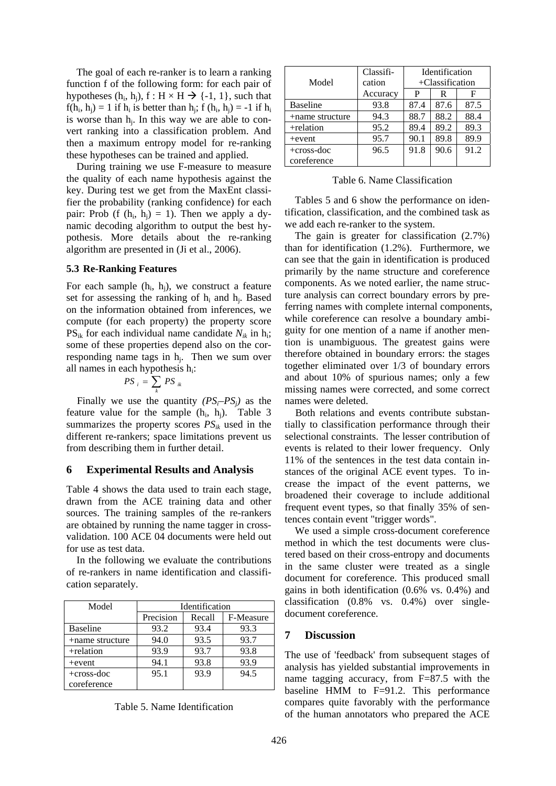The goal of each re-ranker is to learn a ranking function f of the following form: for each pair of hypotheses  $(h_i, h_j)$ ,  $f : H \times H \rightarrow \{-1, 1\}$ , such that  $f(h_i, h_i) = 1$  if  $h_i$  is better than  $h_i$ ; f  $(h_i, h_i) = -1$  if  $h_i$ is worse than hj. In this way we are able to convert ranking into a classification problem. And then a maximum entropy model for re-ranking these hypotheses can be trained and applied.

During training we use F-measure to measure the quality of each name hypothesis against the key. During test we get from the MaxEnt classifier the probability (ranking confidence) for each pair: Prob (f  $(h_i, h_i) = 1$ ). Then we apply a dynamic decoding algorithm to output the best hypothesis. More details about the re-ranking algorithm are presented in (Ji et al., 2006).

#### **5.3 Re-Ranking Features**

For each sample  $(h_i, h_i)$ , we construct a feature set for assessing the ranking of  $h_i$  and  $h_j$ . Based on the information obtained from inferences, we compute (for each property) the property score  $PS_{ik}$  for each individual name candidate  $N_{ik}$  in h<sub>i</sub>; some of these properties depend also on the corresponding name tags in  $h_i$ . Then we sum over all names in each hypothesis  $h_i$ :

$$
PS_{i} = \sum_{k} PS_{ik}
$$

Finally we use the quantity  $(PS_i-PS_j)$  as the feature value for the sample  $(h_i, h_j)$ . Table 3 summarizes the property scores  $PS_{ik}$  used in the different re-rankers; space limitations prevent us from describing them in further detail.

### **6 Experimental Results and Analysis**

Table 4 shows the data used to train each stage, drawn from the ACE training data and other sources. The training samples of the re-rankers are obtained by running the name tagger in crossvalidation. 100 ACE 04 documents were held out for use as test data.

In the following we evaluate the contributions of re-rankers in name identification and classification separately.

| Model           | Identification |        |           |  |  |
|-----------------|----------------|--------|-----------|--|--|
|                 | Precision      | Recall | F-Measure |  |  |
| <b>Baseline</b> | 93.2           | 93.4   | 93.3      |  |  |
| +name structure | 94.0           | 93.5   | 93.7      |  |  |
| +relation       | 93.9           | 93.7   | 93.8      |  |  |
| $+$ event       | 94.1           | 93.8   | 93.9      |  |  |
| $+cross-doc$    | 95.1           | 93.9   | 94.5      |  |  |
| coreference     |                |        |           |  |  |

Table 5. Name Identification

|                 | Classifi- | Identification     |      |      |  |
|-----------------|-----------|--------------------|------|------|--|
| Model           | cation    | $+$ Classification |      |      |  |
|                 | Accuracy  | P                  | R    | F    |  |
| <b>Baseline</b> | 93.8      | 87.4               | 87.6 | 87.5 |  |
| +name structure | 94.3      | 88.7               | 88.2 | 88.4 |  |
| +relation       | 95.2      | 89.4               | 89.2 | 89.3 |  |
| $+$ event       | 95.7      | 90.1               | 89.8 | 89.9 |  |
| $+cross-doc$    | 96.5      | 91.8               | 90.6 | 91.2 |  |
| coreference     |           |                    |      |      |  |

Table 6. Name Classification

Tables 5 and 6 show the performance on identification, classification, and the combined task as we add each re-ranker to the system.

The gain is greater for classification (2.7%) than for identification (1.2%). Furthermore, we can see that the gain in identification is produced primarily by the name structure and coreference components. As we noted earlier, the name structure analysis can correct boundary errors by preferring names with complete internal components, while coreference can resolve a boundary ambiguity for one mention of a name if another mention is unambiguous. The greatest gains were therefore obtained in boundary errors: the stages together eliminated over 1/3 of boundary errors and about 10% of spurious names; only a few missing names were corrected, and some correct names were deleted.

Both relations and events contribute substantially to classification performance through their selectional constraints. The lesser contribution of events is related to their lower frequency. Only 11% of the sentences in the test data contain instances of the original ACE event types. To increase the impact of the event patterns, we broadened their coverage to include additional frequent event types, so that finally 35% of sentences contain event "trigger words".

We used a simple cross-document coreference method in which the test documents were clustered based on their cross-entropy and documents in the same cluster were treated as a single document for coreference. This produced small gains in both identification (0.6% vs. 0.4%) and classification (0.8% vs. 0.4%) over singledocument coreference.

# **7 Discussion**

The use of 'feedback' from subsequent stages of analysis has yielded substantial improvements in name tagging accuracy, from F=87.5 with the baseline HMM to F=91.2. This performance compares quite favorably with the performance of the human annotators who prepared the ACE